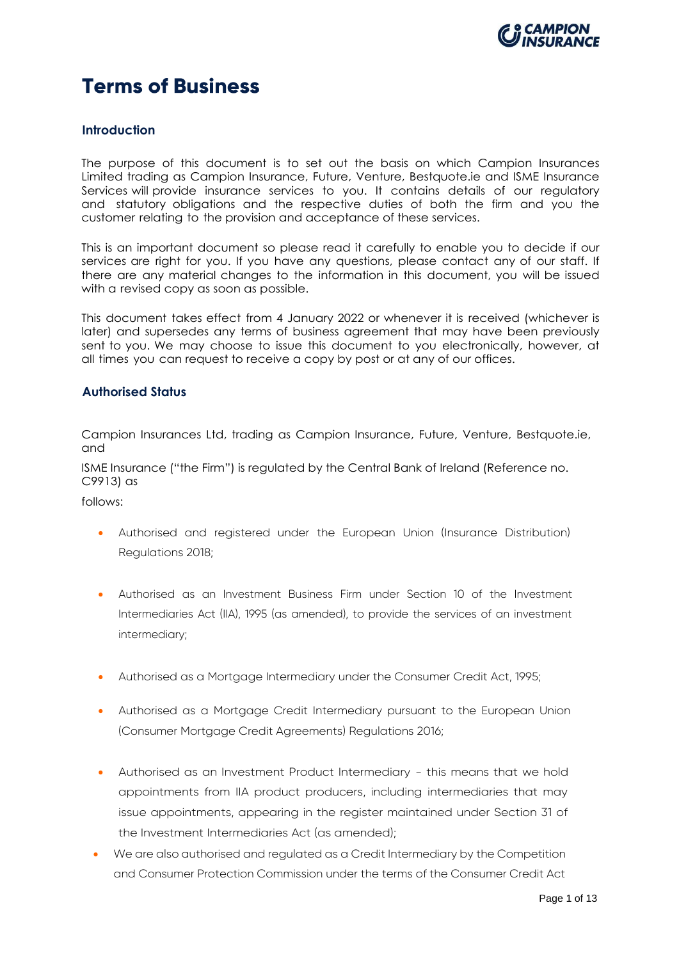

## **Terms of Business**

## **Introduction**

The purpose of this document is to set out the basis on which Campion Insurances Limited trading as Campion Insurance, Future, Venture, Bestquote.ie and ISME Insurance Services will provide insurance services to you. It contains details of our regulatory and statutory obligations and the respective duties of both the firm and you the customer relating to the provision and acceptance of these services.

This is an important document so please read it carefully to enable you to decide if our services are right for you. If you have any questions, please contact any of our staff. If there are any material changes to the information in this document, you will be issued with a revised copy as soon as possible.

This document takes effect from 4 January 2022 or whenever it is received (whichever is later) and supersedes any terms of business agreement that may have been previously sent to you. We may choose to issue this document to you electronically, however, at all times you can request to receive a copy by post or at any of our offices.

## **Authorised Status**

Campion Insurances Ltd, trading as Campion Insurance, Future, Venture, Bestquote.ie, and

ISME Insurance ("the Firm") is regulated by the Central Bank of Ireland (Reference no. C9913) as

follows:

- Authorised and registered under the European Union (Insurance Distribution) Regulations 2018;
- Authorised as an Investment Business Firm under Section 10 of the Investment Intermediaries Act (IIA), 1995 (as amended), to provide the services of an investment intermediary;
- Authorised as a Mortgage Intermediary under the Consumer Credit Act, 1995;
- Authorised as a Mortgage Credit Intermediary pursuant to the European Union (Consumer Mortgage Credit Agreements) Regulations 2016;
- Authorised as an Investment Product Intermediary this means that we hold appointments from IIA product producers, including intermediaries that may issue appointments, appearing in the register maintained under Section 31 of the Investment Intermediaries Act (as amended);
- We are also authorised and regulated as a Credit Intermediary by the Competition and Consumer Protection Commission under the terms of the Consumer Credit Act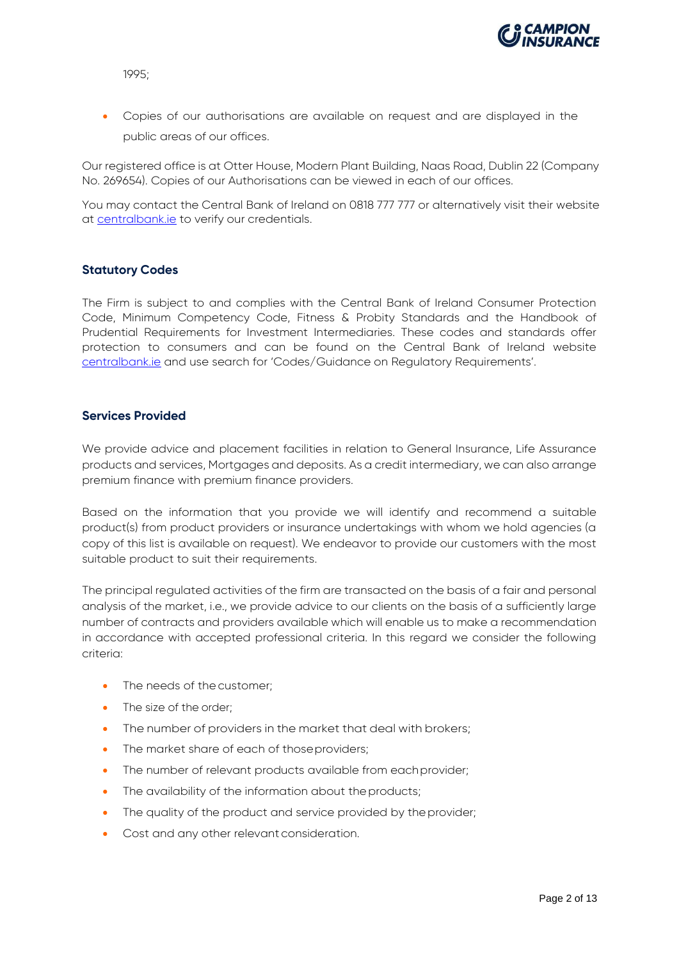

1995;

• Copies of our authorisations are available on request and are displayed in the public areas of our offices.

Our registered office is at Otter House, Modern Plant Building, Naas Road, Dublin 22 (Company No. 269654). Copies of our Authorisations can be viewed in each of our offices.

You may contact the Central Bank of Ireland on 0818 777 777 or alternatively visit their website at [centralbank.ie](http://www.centralbank.ie/) to verify our credentials.

## **Statutory Codes**

The Firm is subject to and complies with the Central Bank of Ireland Consumer Protection Code, Minimum Competency Code, Fitness & Probity Standards and the Handbook of Prudential Requirements for Investment Intermediaries. These codes and standards offer protection to consumers and can be found on the Central Bank of Ireland website [centralbank.ie](http://www.centralbank.ie/) and use search for 'Codes/Guidance on Regulatory Requirements'.

## **Services Provided**

We provide advice and placement facilities in relation to General Insurance, Life Assurance products and services, Mortgages and deposits. As a credit intermediary, we can also arrange premium finance with premium finance providers.

Based on the information that you provide we will identify and recommend a suitable product(s) from product providers or insurance undertakings with whom we hold agencies (a copy of this list is available on request). We endeavor to provide our customers with the most suitable product to suit their requirements.

The principal regulated activities of the firm are transacted on the basis of a fair and personal analysis of the market, i.e., we provide advice to our clients on the basis of a sufficiently large number of contracts and providers available which will enable us to make a recommendation in accordance with accepted professional criteria. In this regard we consider the following criteria:

- The needs of the customer:
- The size of the order:
- The number of providers in the market that deal with brokers;
- The market share of each of those providers;
- The number of relevant products available from each provider;
- The availability of the information about the products;
- The quality of the product and service provided by the provider;
- Cost and any other relevant consideration.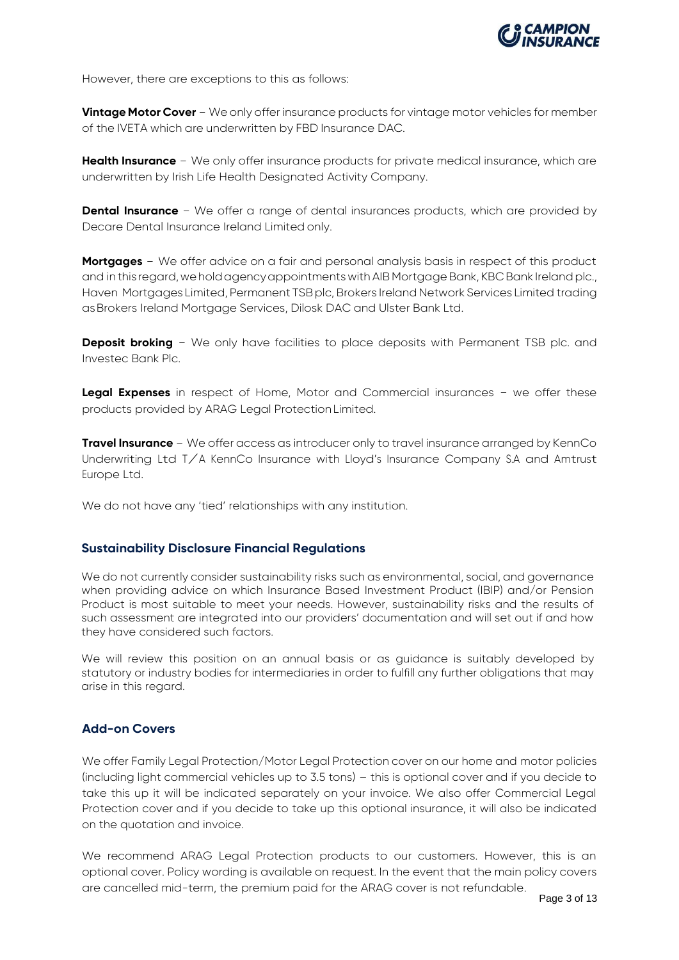

However, there are exceptions to this as follows:

**Vintage Motor Cover** - We only offer insurance products for vintage motor vehicles for member of the IVETA which are underwritten by FBD Insurance DAC.

**Health Insurance** - We only offer insurance products for private medical insurance, which are underwritten by Irish Life Health Designated Activity Company.

**Dental Insurance** - We offer a range of dental insurances products, which are provided by Decare Dental Insurance Ireland Limited only.

**Mortgages** - We offer advice on a fair and personal analysis basis in respect of this product and in this regard, we hold agency appointments with AIB Mortgage Bank, KBC Bank Ireland plc., Haven Mortgages Limited, Permanent TSB plc, Brokers Ireland Network Services Limited trading asBrokers Ireland Mortgage Services, Dilosk DAC and Ulster Bank Ltd.

**Deposit broking** - We only have facilities to place deposits with Permanent TSB plc. and Investec Bank Plc.

**Legal Expenses** in respect of Home, Motor and Commercial insurances - we offer these products provided by ARAG Legal ProtectionLimited.

**Travel Insurance** - We offer access as introducer only to travel insurance arranged by KennCo Underwriting Ltd T/A KennCo Insurance with Lloyd'<sup>s</sup> Insurance Company S.A and Amtrust Europe Ltd.

We do not have any 'tied' relationships with any institution.

## **Sustainability Disclosure Financial Regulations**

We do not currently consider sustainability risks such as environmental, social, and governance when providing advice on which Insurance Based Investment Product (IBIP) and/or Pension Product is most suitable to meet your needs. However, sustainability risks and the results of such assessment are integrated into our providers' documentation and will set out if and how they have considered such factors.

We will review this position on an annual basis or as guidance is suitably developed by statutory or industry bodies for intermediaries in order to fulfill any further obligations that may arise in this regard.

## **Add-on Covers**

We offer Family Legal Protection/Motor Legal Protection cover on our home and motor policies (including light commercial vehicles up to 3.5 tons) – this is optional cover and if you decide to take this up it will be indicated separately on your invoice. We also offer Commercial Legal Protection cover and if you decide to take up this optional insurance, it will also be indicated on the quotation and invoice.

We recommend ARAG Legal Protection products to our customers. However, this is an optional cover. Policy wording is available on request. In the event that the main policy covers are cancelled mid-term, the premium paid for the ARAG cover is not refundable.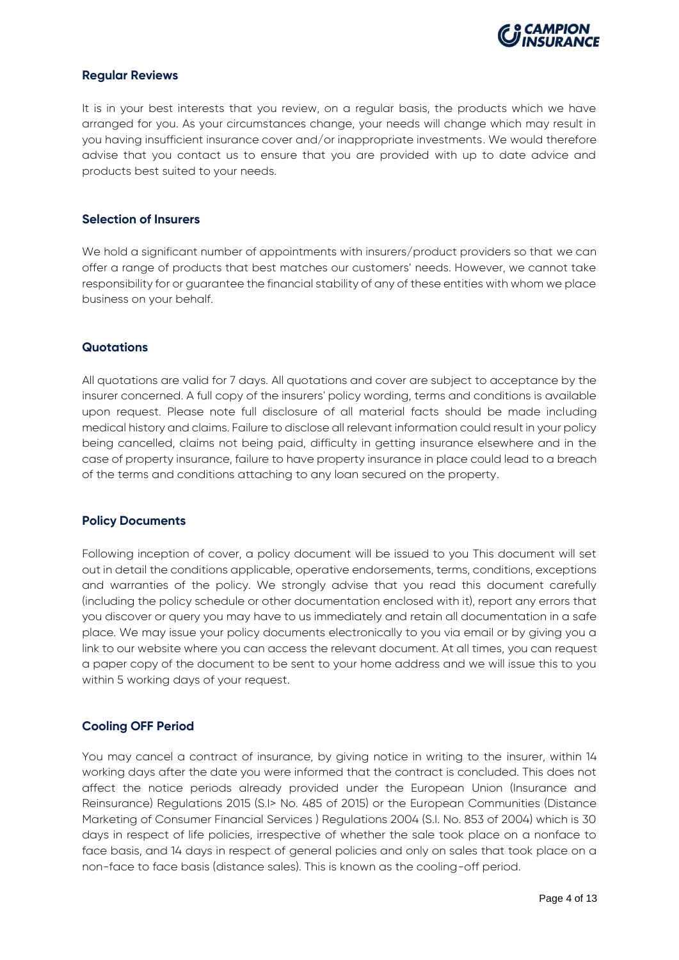

## **Regular Reviews**

It is in your best interests that you review, on a regular basis, the products which we have arranged for you. As your circumstances change, your needs will change which may result in you having insufficient insurance cover and/or inappropriate investments. We would therefore advise that you contact us to ensure that you are provided with up to date advice and products best suited to your needs.

## **Selection of Insurers**

We hold a significant number of appointments with insurers/product providers so that we can offer a range of products that best matches our customers' needs. However, we cannot take responsibility for or guarantee the financial stability of any of these entities with whom we place business on your behalf.

## **Quotations**

All quotations are valid for 7 days. All quotations and cover are subject to acceptance by the insurer concerned. A full copy of the insurers' policy wording, terms and conditions is available upon request. Please note full disclosure of all material facts should be made including medical history and claims. Failure to disclose all relevant information could result in your policy being cancelled, claims not being paid, difficulty in getting insurance elsewhere and in the case of property insurance, failure to have property insurance in place could lead to a breach of the terms and conditions attaching to any loan secured on the property.

## **Policy Documents**

Following inception of cover, a policy document will be issued to you This document will set out in detail the conditions applicable, operative endorsements, terms, conditions, exceptions and warranties of the policy. We strongly advise that you read this document carefully (including the policy schedule or other documentation enclosed with it), report any errors that you discover or query you may have to us immediately and retain all documentation in a safe place. We may issue your policy documents electronically to you via email or by giving you a link to our website where you can access the relevant document. At all times, you can request a paper copy of the document to be sent to your home address and we will issue this to you within 5 working days of your request.

## **Cooling OFF Period**

You may cancel a contract of insurance, by giving notice in writing to the insurer, within 14 working days after the date you were informed that the contract is concluded. This does not affect the notice periods already provided under the European Union (Insurance and Reinsurance) Regulations 2015 (S.I> No. 485 of 2015) or the European Communities (Distance Marketing of Consumer Financial Services ) Regulations 2004 (S.I. No. 853 of 2004) which is 30 days in respect of life policies, irrespective of whether the sale took place on a nonface to face basis, and 14 days in respect of general policies and only on sales that took place on a non-face to face basis (distance sales). This is known as the cooling-off period.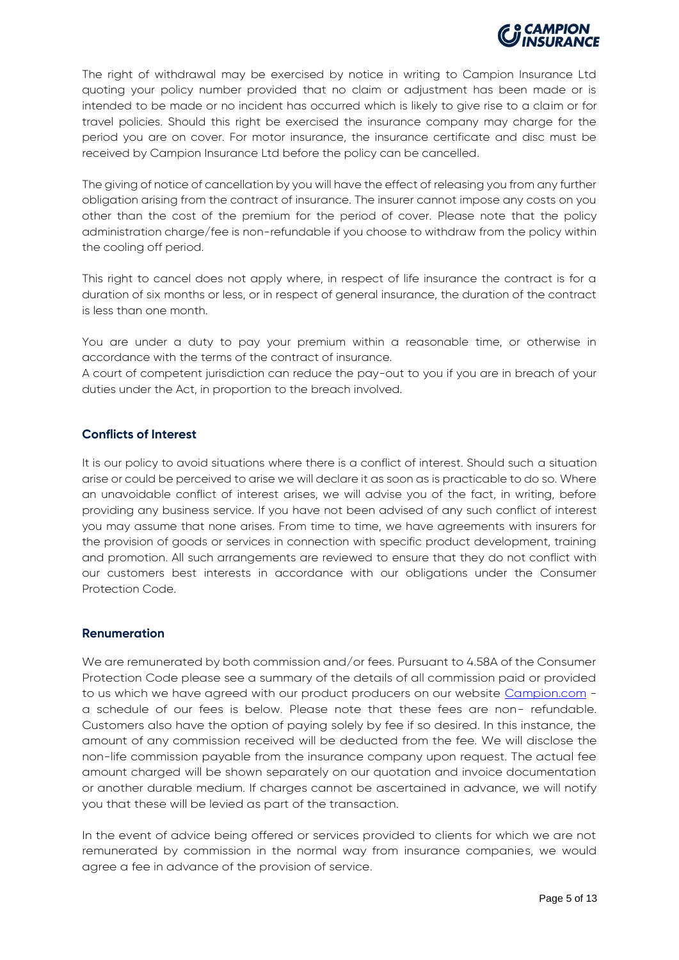

The right of withdrawal may be exercised by notice in writing to Campion Insurance Ltd quoting your policy number provided that no claim or adjustment has been made or is intended to be made or no incident has occurred which is likely to give rise to a claim or for travel policies. Should this right be exercised the insurance company may charge for the period you are on cover. For motor insurance, the insurance certificate and disc must be received by Campion Insurance Ltd before the policy can be cancelled.

The giving of notice of cancellation by you will have the effect of releasing you from any further obligation arising from the contract of insurance. The insurer cannot impose any costs on you other than the cost of the premium for the period of cover. Please note that the policy administration charge/fee is non-refundable if you choose to withdraw from the policy within the cooling off period.

This right to cancel does not apply where, in respect of life insurance the contract is for a duration of six months or less, or in respect of general insurance, the duration of the contract is less than one month.

You are under a duty to pay your premium within a reasonable time, or otherwise in accordance with the terms of the contract of insurance.

A court of competent jurisdiction can reduce the pay-out to you if you are in breach of your duties under the Act, in proportion to the breach involved.

## **Conflicts of Interest**

It is our policy to avoid situations where there is a conflict of interest. Should such a situation arise or could be perceived to arise we will declare it as soon as is practicable to do so. Where an unavoidable conflict of interest arises, we will advise you of the fact, in writing, before providing any business service. If you have not been advised of any such conflict of interest you may assume that none arises. From time to time, we have agreements with insurers for the provision of goods or services in connection with specific product development, training and promotion. All such arrangements are reviewed to ensure that they do not conflict with our customers best interests in accordance with our obligations under the Consumer Protection Code.

## **Renumeration**

We are remunerated by both commission and/or fees. Pursuant to 4.58A of the Consumer Protection Code please see a summary of the details of all commission paid or provided to us which we have agreed with our product producers on our website [Campion.com](http://www.campion.com/) a schedule of our fees is below. Please note that these fees are non- refundable. Customers also have the option of paying solely by fee if so desired. In this instance, the amount of any commission received will be deducted from the fee. We will disclose the non-life commission payable from the insurance company upon request. The actual fee amount charged will be shown separately on our quotation and invoice documentation or another durable medium. If charges cannot be ascertained in advance, we will notify you that these will be levied as part of the transaction.

In the event of advice being offered or services provided to clients for which we are not remunerated by commission in the normal way from insurance companies, we would agree a fee in advance of the provision of service.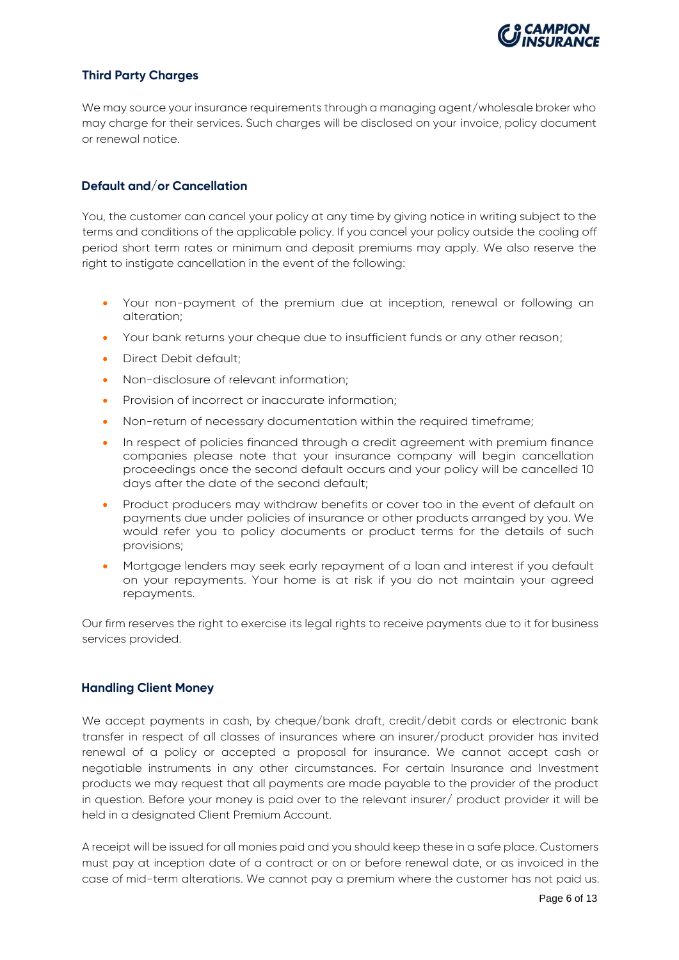

## **Third Party Charges**

We may source your insurance requirements through a managing agent/wholesale broker who may charge for their services. Such charges will be disclosed on your invoice, policy document or renewal notice.

## **Default and/or Cancellation**

You, the customer can cancel your policy at any time by giving notice in writing subject to the terms and conditions of the applicable policy. If you cancel your policy outside the cooling off period short term rates or minimum and deposit premiums may apply. We also reserve the right to instigate cancellation in the event of the following:

- Your non-payment of the premium due at inception, renewal or following an alteration;
- Your bank returns your cheque due to insufficient funds or any other reason;
- Direct Debit default;
- Non-disclosure of relevant information;
- Provision of incorrect or inaccurate information;
- Non-return of necessary documentation within the required timeframe;
- In respect of policies financed through a credit agreement with premium finance companies please note that your insurance company will begin cancellation proceedings once the second default occurs and your policy will be cancelled 10 days after the date of the second default;
- Product producers may withdraw benefits or cover too in the event of default on payments due under policies of insurance or other products arranged by you. We would refer you to policy documents or product terms for the details of such provisions;
- Mortgage lenders may seek early repayment of a loan and interest if you default on your repayments. Your home is at risk if you do not maintain your agreed repayments.

Our firm reserves the right to exercise its legal rights to receive payments due to it for business services provided.

## **Handling Client Money**

We accept payments in cash, by cheque/bank draft, credit/debit cards or electronic bank transfer in respect of all classes of insurances where an insurer/product provider has invited renewal of a policy or accepted a proposal for insurance. We cannot accept cash or negotiable instruments in any other circumstances. For certain Insurance and Investment products we may request that all payments are made payable to the provider of the product in question. Before your money is paid over to the relevant insurer/ product provider it will be held in a designated Client Premium Account.

A receipt will be issued for all monies paid and you should keep these in a safe place. Customers must pay at inception date of a contract or on or before renewal date, or as invoiced in the case of mid-term alterations. We cannot pay a premium where the customer has not paid us.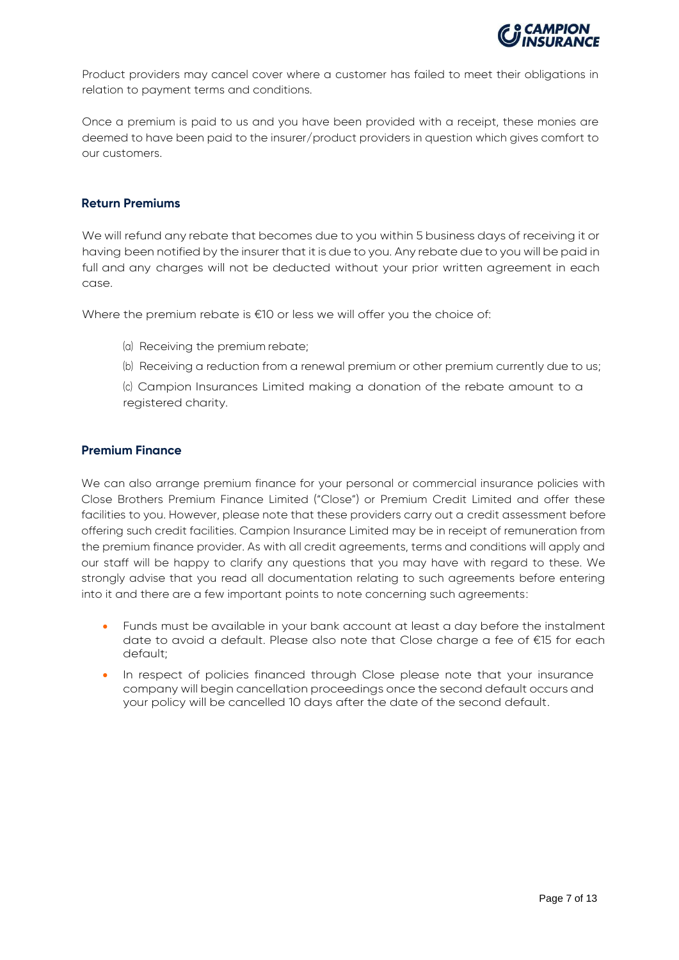

Product providers may cancel cover where a customer has failed to meet their obligations in relation to payment terms and conditions.

Once a premium is paid to us and you have been provided with a receipt, these monies are deemed to have been paid to the insurer/product providers in question which gives comfort to our customers.

## **Return Premiums**

We will refund any rebate that becomes due to you within 5 business days of receiving it or having been notified by the insurer that it is due to you. Any rebate due to you will be paid in full and any charges will not be deducted without your prior written agreement in each case.

Where the premium rebate is €10 or less we will offer you the choice of:

- (a) Receiving the premium rebate;
- (b) Receiving a reduction from a renewal premium or other premium currently due to us;

(c) Campion Insurances Limited making a donation of the rebate amount to a registered charity.

## **Premium Finance**

We can also arrange premium finance for your personal or commercial insurance policies with Close Brothers Premium Finance Limited ("Close") or Premium Credit Limited and offer these facilities to you. However, please note that these providers carry out a credit assessment before offering such credit facilities. Campion Insurance Limited may be in receipt of remuneration from the premium finance provider. As with all credit agreements, terms and conditions will apply and our staff will be happy to clarify any questions that you may have with regard to these. We strongly advise that you read all documentation relating to such agreements before entering into it and there are a few important points to note concerning such agreements:

- Funds must be available in your bank account at least a day before the instalment date to avoid a default. Please also note that Close charge a fee of €15 for each default;
- In respect of policies financed through Close please note that your insurance company will begin cancellation proceedings once the second default occurs and your policy will be cancelled 10 days after the date of the second default.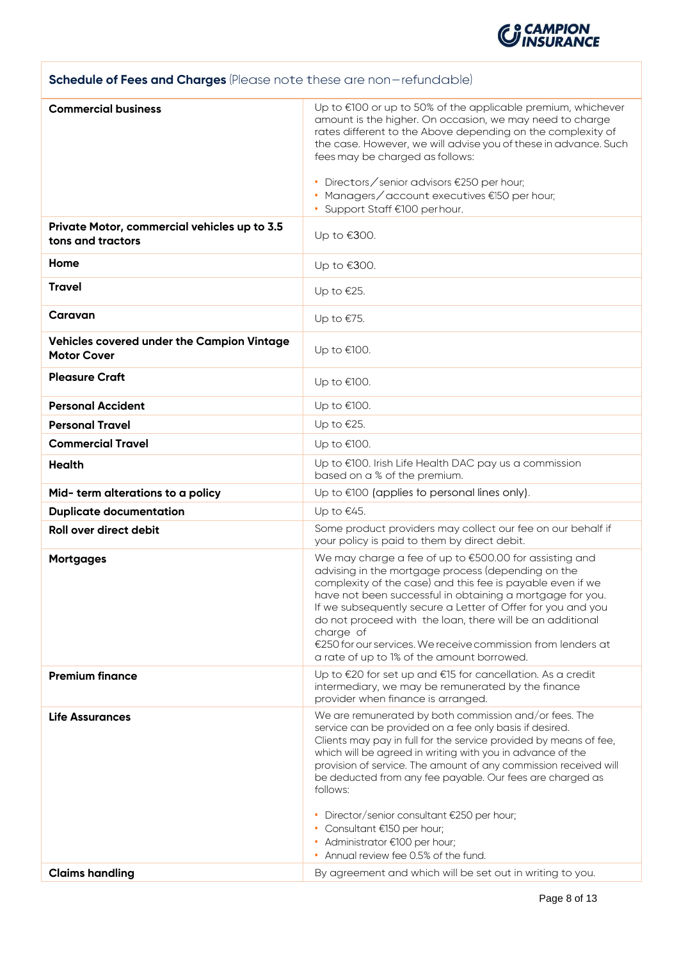

## **Schedule of Fees and Charges** (Please note these are non-refundable)

| <b>Commercial business</b>                                       | Up to €100 or up to 50% of the applicable premium, whichever<br>amount is the higher. On occasion, we may need to charge<br>rates different to the Above depending on the complexity of<br>the case. However, we will advise you of these in advance. Such<br>fees may be charged as follows:<br>• Directors/senior advisors €250 per hour;<br>• Managers/account executives €150 per hour;<br>• Support Staff €100 perhour.                                                                   |
|------------------------------------------------------------------|------------------------------------------------------------------------------------------------------------------------------------------------------------------------------------------------------------------------------------------------------------------------------------------------------------------------------------------------------------------------------------------------------------------------------------------------------------------------------------------------|
| Private Motor, commercial vehicles up to 3.5                     |                                                                                                                                                                                                                                                                                                                                                                                                                                                                                                |
| tons and tractors                                                | Up to €300.                                                                                                                                                                                                                                                                                                                                                                                                                                                                                    |
| Home                                                             | Up to €300.                                                                                                                                                                                                                                                                                                                                                                                                                                                                                    |
| <b>Travel</b>                                                    | Up to $E25$ .                                                                                                                                                                                                                                                                                                                                                                                                                                                                                  |
| Caravan                                                          | Up to $€75$ .                                                                                                                                                                                                                                                                                                                                                                                                                                                                                  |
| Vehicles covered under the Campion Vintage<br><b>Motor Cover</b> | Up to €100.                                                                                                                                                                                                                                                                                                                                                                                                                                                                                    |
| <b>Pleasure Craft</b>                                            | Up to €100.                                                                                                                                                                                                                                                                                                                                                                                                                                                                                    |
| <b>Personal Accident</b>                                         | Up to €100.                                                                                                                                                                                                                                                                                                                                                                                                                                                                                    |
| <b>Personal Travel</b>                                           | Up to $E$ 25.                                                                                                                                                                                                                                                                                                                                                                                                                                                                                  |
| <b>Commercial Travel</b>                                         | Up to €100.                                                                                                                                                                                                                                                                                                                                                                                                                                                                                    |
| <b>Health</b>                                                    | Up to €100. Irish Life Health DAC pay us a commission<br>based on a % of the premium.                                                                                                                                                                                                                                                                                                                                                                                                          |
| Mid- term alterations to a policy                                | Up to $\epsilon$ 100 (applies to personal lines only).                                                                                                                                                                                                                                                                                                                                                                                                                                         |
| <b>Duplicate documentation</b>                                   | Up to €45.                                                                                                                                                                                                                                                                                                                                                                                                                                                                                     |
| Roll over direct debit                                           | Some product providers may collect our fee on our behalf if<br>your policy is paid to them by direct debit.                                                                                                                                                                                                                                                                                                                                                                                    |
| <b>Mortgages</b>                                                 | We may charge a fee of up to €500.00 for assisting and<br>advising in the mortgage process (depending on the<br>complexity of the case) and this fee is payable even if we<br>have not been successful in obtaining a mortgage for you.<br>If we subsequently secure a Letter of Offer for you and you<br>do not proceed with the loan, there will be an additional<br>charge of<br>€250 for our services. We receive commission from lenders at<br>a rate of up to 1% of the amount borrowed. |
| <b>Premium finance</b>                                           | Up to €20 for set up and €15 for cancellation. As a credit<br>intermediary, we may be remunerated by the finance<br>provider when finance is arranged.                                                                                                                                                                                                                                                                                                                                         |
| <b>Life Assurances</b>                                           | We are remunerated by both commission and/or fees. The<br>service can be provided on a fee only basis if desired.<br>Clients may pay in full for the service provided by means of fee,<br>which will be agreed in writing with you in advance of the<br>provision of service. The amount of any commission received will<br>be deducted from any fee payable. Our fees are charged as<br>follows:                                                                                              |
|                                                                  | Director/senior consultant €250 per hour;<br>• Consultant €150 per hour;<br>• Administrator €100 per hour;<br>• Annual review fee 0.5% of the fund.                                                                                                                                                                                                                                                                                                                                            |
| <b>Claims handling</b>                                           | By agreement and which will be set out in writing to you.                                                                                                                                                                                                                                                                                                                                                                                                                                      |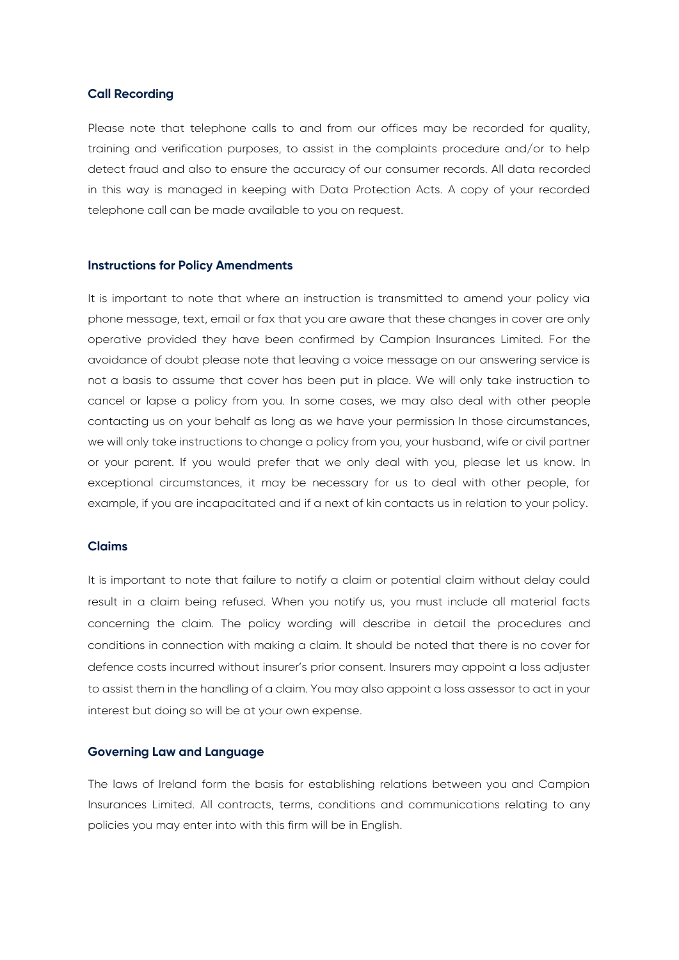## **Call Recording**

Please note that telephone calls to and from our offices may be recorded for quality, training and verification purposes, to assist in the complaints procedure and/or to help detect fraud and also to ensure the accuracy of our consumer records. All data recorded in this way is managed in keeping with Data Protection Acts. A copy of your recorded telephone call can be made available to you on request.

#### **Instructions for Policy Amendments**

It is important to note that where an instruction is transmitted to amend your policy via phone message, text, email or fax that you are aware that these changes in cover are only operative provided they have been confirmed by Campion Insurances Limited. For the avoidance of doubt please note that leaving a voice message on our answering service is not a basis to assume that cover has been put in place. We will only take instruction to cancel or lapse a policy from you. In some cases, we may also deal with other people contacting us on your behalf as long as we have your permission In those circumstances, we will only take instructions to change a policy from you, your husband, wife or civil partner or your parent. If you would prefer that we only deal with you, please let us know. In exceptional circumstances, it may be necessary for us to deal with other people, for example, if you are incapacitated and if a next of kin contacts us in relation to your policy.

## **Claims**

It is important to note that failure to notify a claim or potential claim without delay could result in a claim being refused. When you notify us, you must include all material facts concerning the claim. The policy wording will describe in detail the procedures and conditions in connection with making a claim. It should be noted that there is no cover for defence costs incurred without insurer's prior consent. Insurers may appoint a loss adjuster to assist them in the handling of a claim. You may also appoint a loss assessor to act in your interest but doing so will be at your own expense.

### **Governing Law and Language**

The laws of Ireland form the basis for establishing relations between you and Campion Insurances Limited. All contracts, terms, conditions and communications relating to any policies you may enter into with this firm will be in English.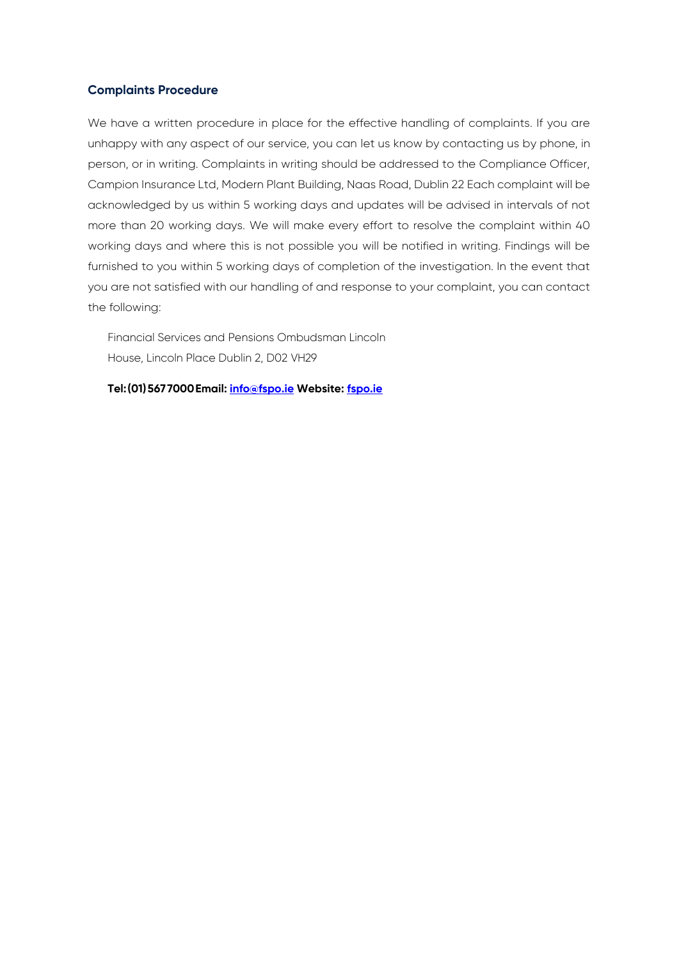## **Complaints Procedure**

We have a written procedure in place for the effective handling of complaints. If you are unhappy with any aspect of our service, you can let us know by contacting us by phone, in person, or in writing. Complaints in writing should be addressed to the Compliance Officer, Campion Insurance Ltd, Modern Plant Building, Naas Road, Dublin 22 Each complaint will be acknowledged by us within 5 working days and updates will be advised in intervals of not more than 20 working days. We will make every effort to resolve the complaint within 40 working days and where this is not possible you will be notified in writing. Findings will be furnished to you within 5 working days of completion of the investigation. In the event that you are not satisfied with our handling of and response to your complaint, you can contact the following:

Financial Services and Pensions Ombudsman Lincoln House, Lincoln Place Dublin 2, D02 VH29

**Tel:(01)567 7000Email[: info@fspo.ie](mailto:info@fspo.ie) Website: [fspo.ie](http://www.fspo.ie/)**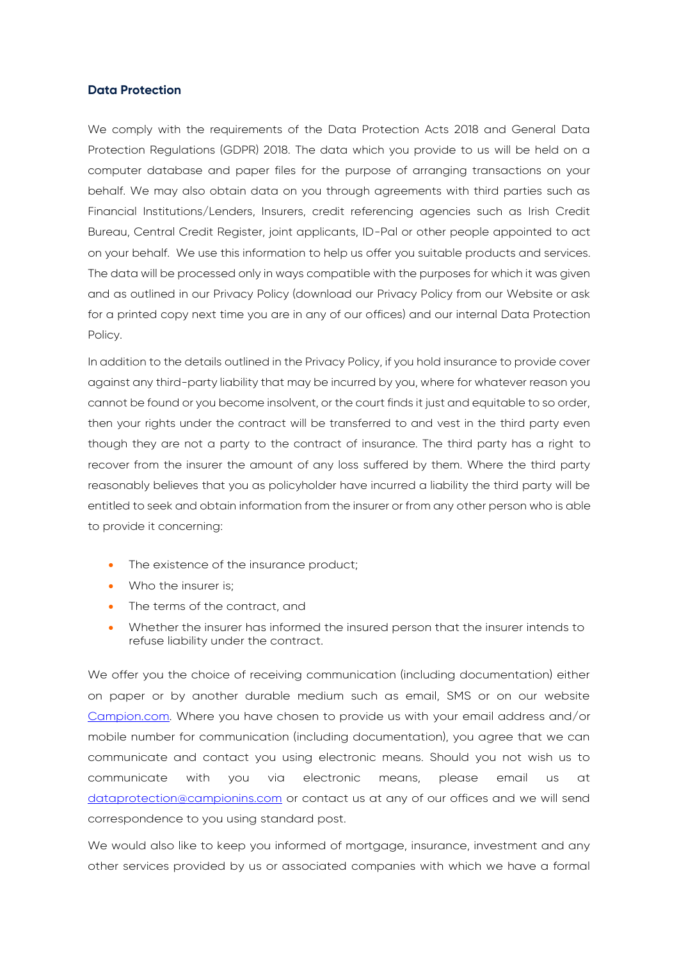## **Data Protection**

We comply with the requirements of the Data Protection Acts 2018 and General Data Protection Regulations (GDPR) 2018. The data which you provide to us will be held on a computer database and paper files for the purpose of arranging transactions on your behalf. We may also obtain data on you through agreements with third parties such as Financial Institutions/Lenders, Insurers, credit referencing agencies such as Irish Credit Bureau, Central Credit Register, joint applicants, ID-Pal or other people appointed to act on your behalf. We use this information to help us offer you suitable products and services. The data will be processed only in ways compatible with the purposes for which it was given and as outlined in our Privacy Policy (download our Privacy Policy from our Website or ask for a printed copy next time you are in any of our offices) and our internal Data Protection Policy.

In addition to the details outlined in the Privacy Policy, if you hold insurance to provide cover against any third-party liability that may be incurred by you, where for whatever reason you cannot be found or you become insolvent, or the court finds it just and equitable to so order, then your rights under the contract will be transferred to and vest in the third party even though they are not a party to the contract of insurance. The third party has a right to recover from the insurer the amount of any loss suffered by them. Where the third party reasonably believes that you as policyholder have incurred a liability the third party will be entitled to seek and obtain information from the insurer or from any other person who is able to provide it concerning:

- The existence of the insurance product;
- Who the insurer is;
- The terms of the contract, and
- Whether the insurer has informed the insured person that the insurer intends to refuse liability under the contract.

We offer you the choice of receiving communication (including documentation) either on paper or by another durable medium such as email, SMS or on our website [Campion.com.](http://www.campion.com/) Where you have chosen to provide us with your email address and/or mobile number for communication (including documentation), you agree that we can communicate and contact you using electronic means. Should you not wish us to communicate with you via electronic means, please email us at [dataprotection@campionins.com](mailto:dataprotection@campionins.com) or contact us at any of our offices and we will send correspondence to you using standard post.

We would also like to keep you informed of mortgage, insurance, investment and any other services provided by us or associated companies with which we have a formal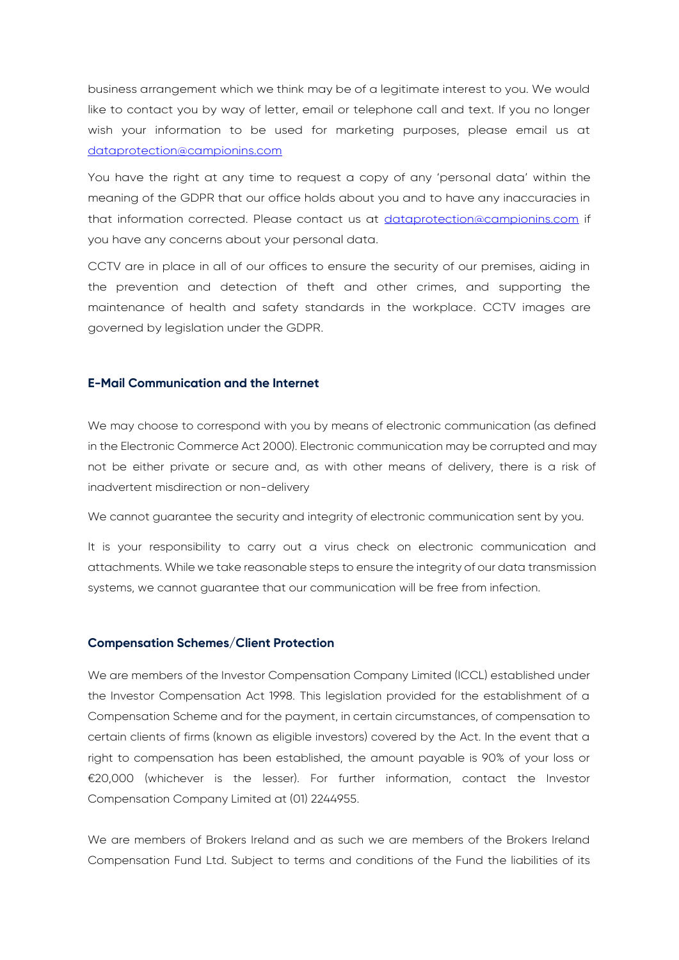business arrangement which we think may be of a legitimate interest to you. We would like to contact you by way of letter, email or telephone call and text. If you no longer wish your information to be used for marketing purposes, please email us at [dataprotection@campionins.com](mailto:dataprotection@campionins.com)

You have the right at any time to request a copy of any 'personal data' within the meaning of the GDPR that our office holds about you and to have any inaccuracies in that information corrected. Please contact us at [dataprotection@campionins.com](mailto:dataprotection@campionins.com) if you have any concerns about your personal data.

CCTV are in place in all of our offices to ensure the security of our premises, aiding in the prevention and detection of theft and other crimes, and supporting the maintenance of health and safety standards in the workplace. CCTV images are governed by legislation under the GDPR.

## **E-Mail Communication and the Internet**

We may choose to correspond with you by means of electronic communication (as defined in the Electronic Commerce Act 2000). Electronic communication may be corrupted and may not be either private or secure and, as with other means of delivery, there is a risk of inadvertent misdirection or non-delivery

We cannot guarantee the security and integrity of electronic communication sent by you.

It is your responsibility to carry out a virus check on electronic communication and attachments. While we take reasonable steps to ensure the integrity of our data transmission systems, we cannot guarantee that our communication will be free from infection.

## **Compensation Schemes/Client Protection**

We are members of the Investor Compensation Company Limited (ICCL) established under the Investor Compensation Act 1998. This legislation provided for the establishment of a Compensation Scheme and for the payment, in certain circumstances, of compensation to certain clients of firms (known as eligible investors) covered by the Act. In the event that a right to compensation has been established, the amount payable is 90% of your loss or €20,000 (whichever is the lesser). For further information, contact the Investor Compensation Company Limited at (01) 2244955.

We are members of Brokers Ireland and as such we are members of the Brokers Ireland Compensation Fund Ltd. Subject to terms and conditions of the Fund the liabilities of its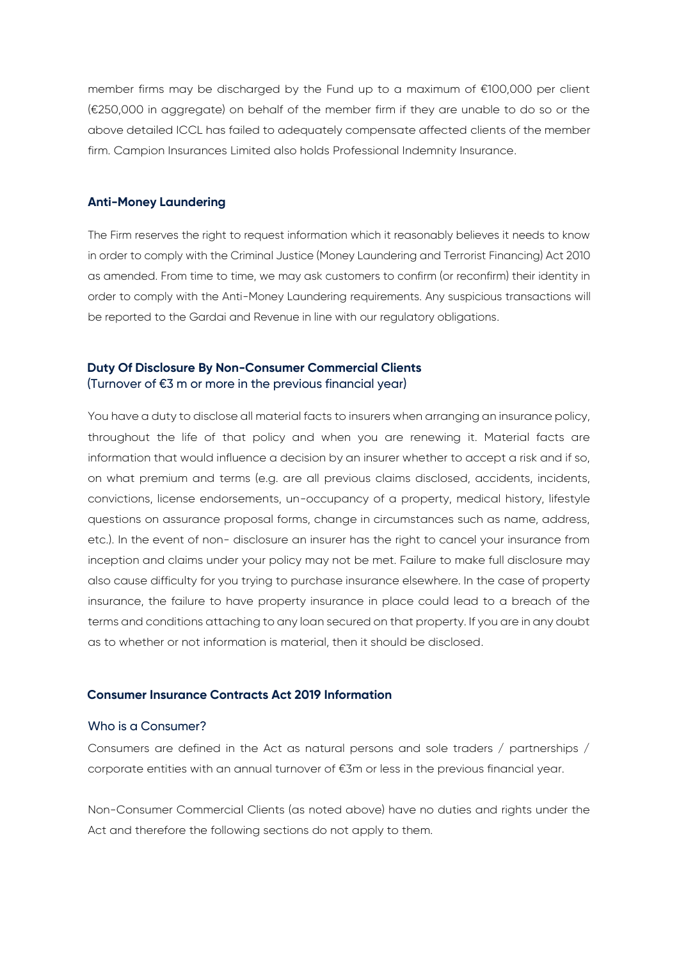member firms may be discharged by the Fund up to a maximum of €100,000 per client (€250,000 in aggregate) on behalf of the member firm if they are unable to do so or the above detailed ICCL has failed to adequately compensate affected clients of the member firm. Campion Insurances Limited also holds Professional Indemnity Insurance.

## **Anti-Money Laundering**

The Firm reserves the right to request information which it reasonably believes it needs to know in order to comply with the Criminal Justice (Money Laundering and Terrorist Financing) Act 2010 as amended. From time to time, we may ask customers to confirm (or reconfirm) their identity in order to comply with the Anti-Money Laundering requirements. Any suspicious transactions will be reported to the Gardai and Revenue in line with our regulatory obligations.

## **Duty Of Disclosure By Non-Consumer Commercial Clients** (Turnover of €3 m or more in the previous financial year)

You have a duty to disclose all material facts to insurers when arranging an insurance policy, throughout the life of that policy and when you are renewing it. Material facts are information that would influence a decision by an insurer whether to accept a risk and if so, on what premium and terms (e.g. are all previous claims disclosed, accidents, incidents, convictions, license endorsements, un-occupancy of a property, medical history, lifestyle questions on assurance proposal forms, change in circumstances such as name, address, etc.). In the event of non- disclosure an insurer has the right to cancel your insurance from inception and claims under your policy may not be met. Failure to make full disclosure may also cause difficulty for you trying to purchase insurance elsewhere. In the case of property insurance, the failure to have property insurance in place could lead to a breach of the terms and conditions attaching to any loan secured on that property. If you are in any doubt as to whether or not information is material, then it should be disclosed.

## **Consumer Insurance Contracts Act 2019 Information**

### Who is a Consumer?

Consumers are defined in the Act as natural persons and sole traders / partnerships / corporate entities with an annual turnover of €3m or less in the previous financial year.

Non-Consumer Commercial Clients (as noted above) have no duties and rights under the Act and therefore the following sections do not apply to them.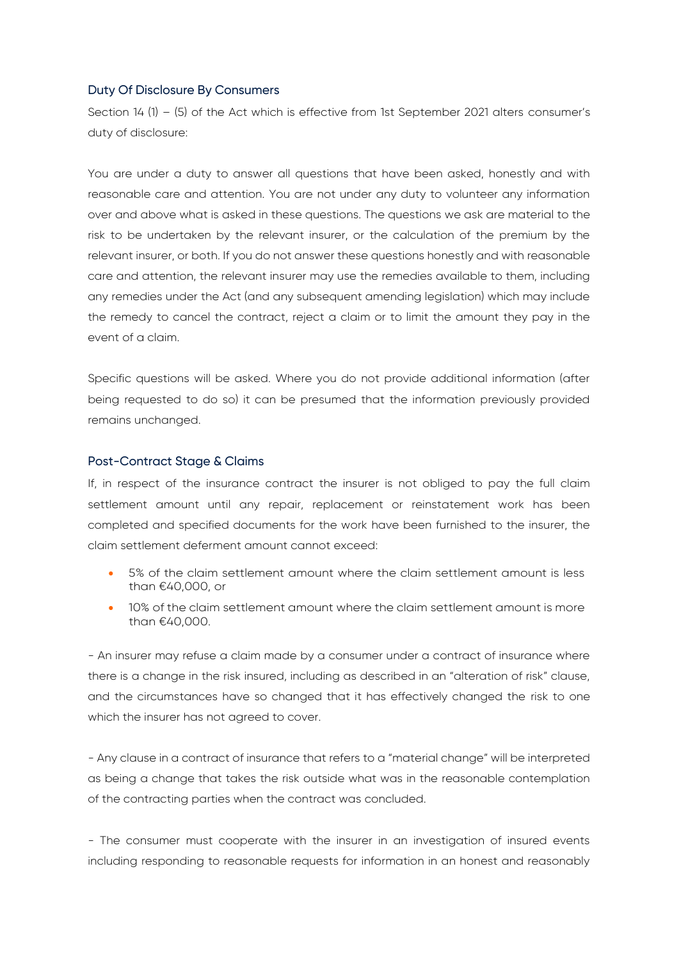## Duty Of Disclosure By Consumers

Section 14 (1) – (5) of the Act which is effective from 1st September 2021 alters consumer's duty of disclosure:

You are under a duty to answer all questions that have been asked, honestly and with reasonable care and attention. You are not under any duty to volunteer any information over and above what is asked in these questions. The questions we ask are material to the risk to be undertaken by the relevant insurer, or the calculation of the premium by the relevant insurer, or both. If you do not answer these questions honestly and with reasonable care and attention, the relevant insurer may use the remedies available to them, including any remedies under the Act (and any subsequent amending legislation) which may include the remedy to cancel the contract, reject a claim or to limit the amount they pay in the event of a claim.

Specific questions will be asked. Where you do not provide additional information (after being requested to do so) it can be presumed that the information previously provided remains unchanged.

## Post-Contract Stage & Claims

If, in respect of the insurance contract the insurer is not obliged to pay the full claim settlement amount until any repair, replacement or reinstatement work has been completed and specified documents for the work have been furnished to the insurer, the claim settlement deferment amount cannot exceed:

- 5% of the claim settlement amount where the claim settlement amount is less than €40,000, or
- 10% of the claim settlement amount where the claim settlement amount is more than €40,000.

- An insurer may refuse a claim made by a consumer under a contract of insurance where there is a change in the risk insured, including as described in an "alteration of risk" clause, and the circumstances have so changed that it has effectively changed the risk to one which the insurer has not agreed to cover.

- Any clause in a contract of insurance that refers to a "material change" will be interpreted as being a change that takes the risk outside what was in the reasonable contemplation of the contracting parties when the contract was concluded.

- The consumer must cooperate with the insurer in an investigation of insured events including responding to reasonable requests for information in an honest and reasonably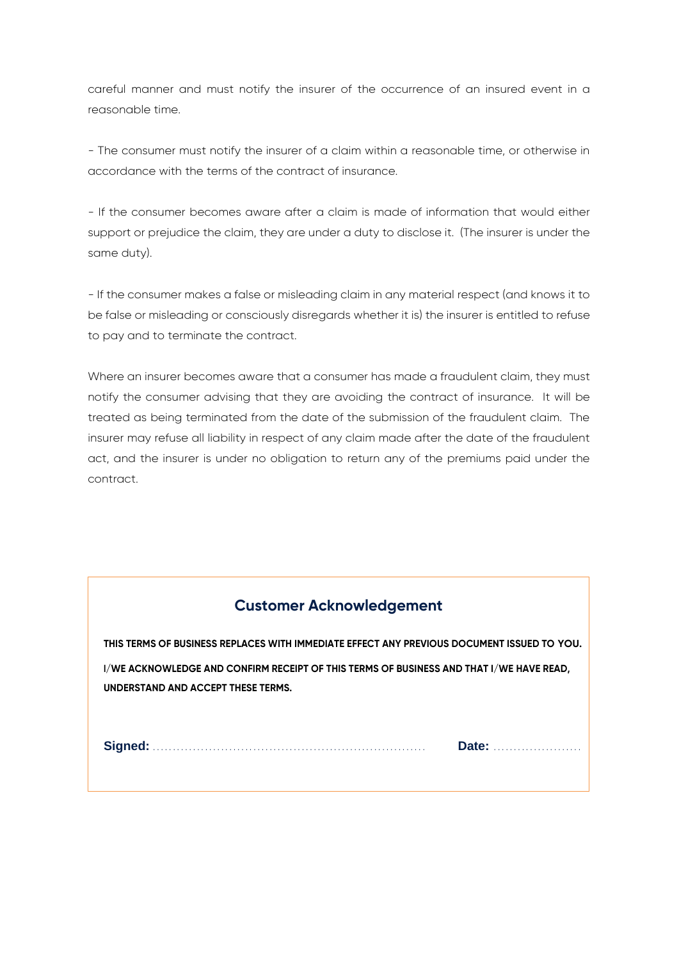careful manner and must notify the insurer of the occurrence of an insured event in a reasonable time.

- The consumer must notify the insurer of a claim within a reasonable time, or otherwise in accordance with the terms of the contract of insurance.

- If the consumer becomes aware after a claim is made of information that would either support or prejudice the claim, they are under a duty to disclose it. (The insurer is under the same duty).

- If the consumer makes a false or misleading claim in any material respect (and knows it to be false or misleading or consciously disregards whether it is) the insurer is entitled to refuse to pay and to terminate the contract.

Where an insurer becomes aware that a consumer has made a fraudulent claim, they must notify the consumer advising that they are avoiding the contract of insurance. It will be treated as being terminated from the date of the submission of the fraudulent claim. The insurer may refuse all liability in respect of any claim made after the date of the fraudulent act, and the insurer is under no obligation to return any of the premiums paid under the contract.

## **Customer Acknowledgement**

**THIS TERMS OF BUSINESS REPLACES WITH IMMEDIATE EFFECT ANY PREVIOUS DOCUMENT ISSUED TO YOU. I/WE ACKNOWLEDGE AND CONFIRM RECEIPT OF THIS TERMS OF BUSINESS AND THAT I/WE HAVE READ, UNDERSTAND AND ACCEPT THESE TERMS.**

**Signed:** . . . . . . . . . . . . . . . . . . . . . . . . . . . . . . . . . . . . . . . . . . . . . . . . . . . . . . . . . . . . . . . . . . . . **Date:** . . . . . . . . . . . . . . . . . . . . . .